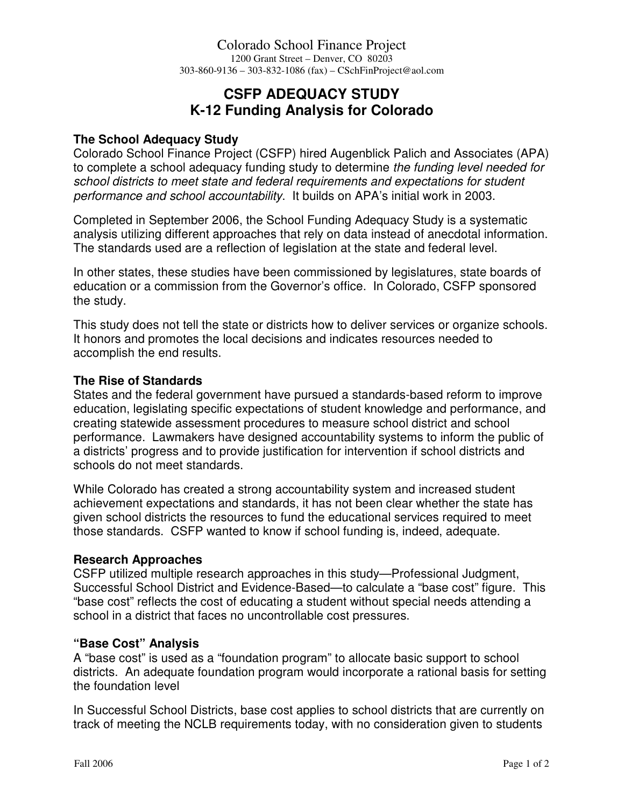# **CSFP ADEQUACY STUDY K-12 Funding Analysis for Colorado**

## **The School Adequacy Study**

Colorado School Finance Project (CSFP) hired Augenblick Palich and Associates (APA) to complete a school adequacy funding study to determine the funding level needed for school districts to meet state and federal requirements and expectations for student performance and school accountability. It builds on APA's initial work in 2003.

Completed in September 2006, the School Funding Adequacy Study is a systematic analysis utilizing different approaches that rely on data instead of anecdotal information. The standards used are a reflection of legislation at the state and federal level.

In other states, these studies have been commissioned by legislatures, state boards of education or a commission from the Governor's office. In Colorado, CSFP sponsored the study.

This study does not tell the state or districts how to deliver services or organize schools. It honors and promotes the local decisions and indicates resources needed to accomplish the end results.

#### **The Rise of Standards**

States and the federal government have pursued a standards-based reform to improve education, legislating specific expectations of student knowledge and performance, and creating statewide assessment procedures to measure school district and school performance. Lawmakers have designed accountability systems to inform the public of a districts' progress and to provide justification for intervention if school districts and schools do not meet standards.

While Colorado has created a strong accountability system and increased student achievement expectations and standards, it has not been clear whether the state has given school districts the resources to fund the educational services required to meet those standards. CSFP wanted to know if school funding is, indeed, adequate.

#### **Research Approaches**

CSFP utilized multiple research approaches in this study—Professional Judgment, Successful School District and Evidence-Based—to calculate a "base cost" figure. This "base cost" reflects the cost of educating a student without special needs attending a school in a district that faces no uncontrollable cost pressures.

#### **"Base Cost" Analysis**

A "base cost" is used as a "foundation program" to allocate basic support to school districts. An adequate foundation program would incorporate a rational basis for setting the foundation level

In Successful School Districts, base cost applies to school districts that are currently on track of meeting the NCLB requirements today, with no consideration given to students